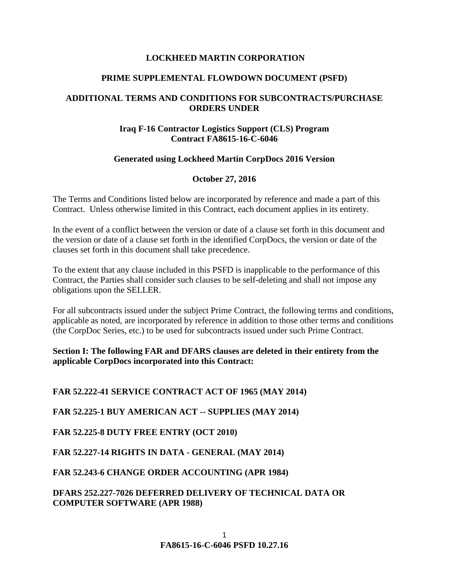# **LOCKHEED MARTIN CORPORATION**

#### **PRIME SUPPLEMENTAL FLOWDOWN DOCUMENT (PSFD)**

# **ADDITIONAL TERMS AND CONDITIONS FOR SUBCONTRACTS/PURCHASE ORDERS UNDER**

# **Iraq F-16 Contractor Logistics Support (CLS) Program Contract FA8615-16-C-6046**

# **Generated using Lockheed Martin CorpDocs 2016 Version**

# **October 27, 2016**

The Terms and Conditions listed below are incorporated by reference and made a part of this Contract. Unless otherwise limited in this Contract, each document applies in its entirety.

In the event of a conflict between the version or date of a clause set forth in this document and the version or date of a clause set forth in the identified CorpDocs, the version or date of the clauses set forth in this document shall take precedence.

To the extent that any clause included in this PSFD is inapplicable to the performance of this Contract, the Parties shall consider such clauses to be self-deleting and shall not impose any obligations upon the SELLER.

For all subcontracts issued under the subject Prime Contract, the following terms and conditions, applicable as noted, are incorporated by reference in addition to those other terms and conditions (the CorpDoc Series, etc.) to be used for subcontracts issued under such Prime Contract.

**Section I: The following FAR and DFARS clauses are deleted in their entirety from the applicable CorpDocs incorporated into this Contract:**

**FAR 52.222-41 SERVICE CONTRACT ACT OF 1965 (MAY 2014)**

**FAR 52.225-1 BUY AMERICAN ACT -- SUPPLIES (MAY 2014)** 

**FAR 52.225-8 DUTY FREE ENTRY (OCT 2010)**

**FAR 52.227-14 RIGHTS IN DATA - GENERAL (MAY 2014)**

**FAR 52.243-6 CHANGE ORDER ACCOUNTING (APR 1984)**

**DFARS 252.227-7026 DEFERRED DELIVERY OF TECHNICAL DATA OR COMPUTER SOFTWARE (APR 1988)**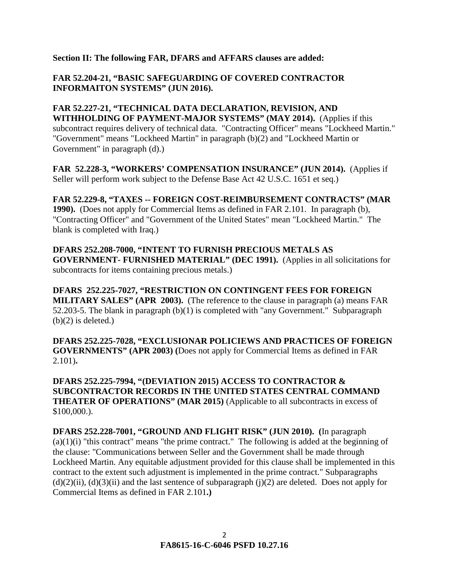**Section II: The following FAR, DFARS and AFFARS clauses are added:** 

**FAR 52.204-21, "BASIC SAFEGUARDING OF COVERED CONTRACTOR INFORMAITON SYSTEMS" (JUN 2016).**

**FAR 52.227-21, "TECHNICAL DATA DECLARATION, REVISION, AND WITHHOLDING OF PAYMENT-MAJOR SYSTEMS" (MAY 2014).** (Applies if this subcontract requires delivery of technical data. "Contracting Officer" means "Lockheed Martin." "Government" means "Lockheed Martin" in paragraph (b)(2) and "Lockheed Martin or Government" in paragraph (d).)

**FAR 52.228-3, "WORKERS' COMPENSATION INSURANCE" (JUN 2014).** (Applies if Seller will perform work subject to the Defense Base Act 42 U.S.C. 1651 et seq.)

**FAR 52.229-8, "TAXES -- FOREIGN COST-REIMBURSEMENT CONTRACTS" (MAR 1990).** (Does not apply for Commercial Items as defined in FAR 2.101. In paragraph (b), "Contracting Officer" and "Government of the United States" mean "Lockheed Martin." The blank is completed with Iraq.)

**DFARS 252.208-7000, "INTENT TO FURNISH PRECIOUS METALS AS GOVERNMENT- FURNISHED MATERIAL" (DEC 1991).** (Applies in all solicitations for subcontracts for items containing precious metals.)

**DFARS 252.225-7027, "RESTRICTION ON CONTINGENT FEES FOR FOREIGN MILITARY SALES" (APR 2003).** (The reference to the clause in paragraph (a) means FAR 52.203-5. The blank in paragraph (b)(1) is completed with "any Government." Subparagraph  $(b)(2)$  is deleted.)

**DFARS 252.225-7028, "EXCLUSIONAR POLICIEWS AND PRACTICES OF FOREIGN GOVERNMENTS" (APR 2003) (**Does not apply for Commercial Items as defined in FAR 2.101)**.**

**DFARS 252.225-7994, "(DEVIATION 2015) ACCESS TO CONTRACTOR & SUBCONTRACTOR RECORDS IN THE UNITED STATES CENTRAL COMMAND THEATER OF OPERATIONS" (MAR 2015)** (Applicable to all subcontracts in excess of \$100,000.).

**DFARS 252.228-7001, "GROUND AND FLIGHT RISK" (JUN 2010). (**In paragraph  $(a)(1)(i)$  "this contract" means "the prime contract." The following is added at the beginning of the clause: "Communications between Seller and the Government shall be made through Lockheed Martin. Any equitable adjustment provided for this clause shall be implemented in this contract to the extent such adjustment is implemented in the prime contract." Subparagraphs  $(d)(2)(ii)$ ,  $(d)(3)(ii)$  and the last sentence of subparagraph (j)(2) are deleted. Does not apply for Commercial Items as defined in FAR 2.101**.)**